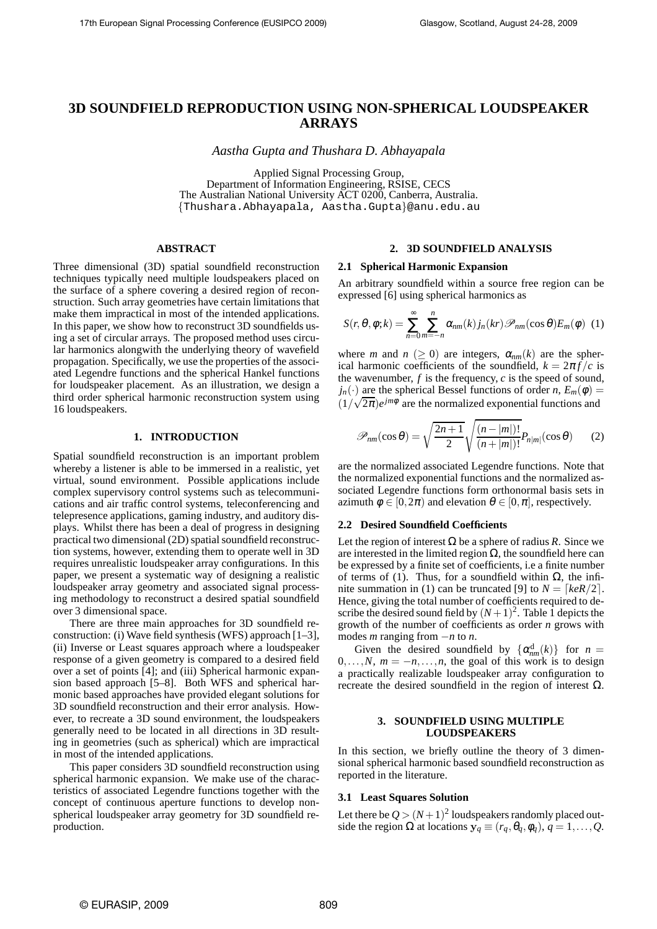# **3D SOUNDFIELD REPRODUCTION USING NON-SPHERICAL LOUDSPEAKER ARRAYS**

*Aastha Gupta and Thushara D. Abhayapala*

Applied Signal Processing Group, Department of Information Engineering, RSISE, CECS The Australian National University ACT 0200, Canberra, Australia. {Thushara.Abhayapala, Aastha.Gupta}@anu.edu.au

## **ABSTRACT**

Three dimensional (3D) spatial soundfield reconstruction techniques typically need multiple loudspeakers placed on the surface of a sphere covering a desired region of reconstruction. Such array geometries have certain limitations that make them impractical in most of the intended applications. In this paper, we show how to reconstruct 3D soundfields using a set of circular arrays. The proposed method uses circular harmonics alongwith the underlying theory of wavefield propagation. Specifically, we use the properties of the associated Legendre functions and the spherical Hankel functions for loudspeaker placement. As an illustration, we design a third order spherical harmonic reconstruction system using 16 loudspeakers.

## **1. INTRODUCTION**

Spatial soundfield reconstruction is an important problem whereby a listener is able to be immersed in a realistic, yet virtual, sound environment. Possible applications include complex supervisory control systems such as telecommunications and air traffic control systems, teleconferencing and telepresence applications, gaming industry, and auditory displays. Whilst there has been a deal of progress in designing practical two dimensional (2D) spatial soundfield reconstruction systems, however, extending them to operate well in 3D requires unrealistic loudspeaker array configurations. In this paper, we present a systematic way of designing a realistic loudspeaker array geometry and associated signal processing methodology to reconstruct a desired spatial soundfield over 3 dimensional space.

There are three main approaches for 3D soundfield reconstruction: (i) Wave field synthesis (WFS) approach [1–3], (ii) Inverse or Least squares approach where a loudspeaker response of a given geometry is compared to a desired field over a set of points [4]; and (iii) Spherical harmonic expansion based approach [5–8]. Both WFS and spherical harmonic based approaches have provided elegant solutions for 3D soundfield reconstruction and their error analysis. However, to recreate a 3D sound environment, the loudspeakers generally need to be located in all directions in 3D resulting in geometries (such as spherical) which are impractical in most of the intended applications.

This paper considers 3D soundfield reconstruction using spherical harmonic expansion. We make use of the characteristics of associated Legendre functions together with the concept of continuous aperture functions to develop nonspherical loudspeaker array geometry for 3D soundfield reproduction.

## **2. 3D SOUNDFIELD ANALYSIS**

#### **2.1 Spherical Harmonic Expansion**

An arbitrary soundfield within a source free region can be expressed [6] using spherical harmonics as

$$
S(r,\theta,\phi;k) = \sum_{n=0}^{\infty} \sum_{m=-n}^{n} \alpha_{nm}(k) j_n(kr) \mathcal{P}_{nm}(\cos\theta) E_m(\phi)
$$
 (1)

where *m* and  $n \geq 0$  are integers,  $\alpha_{nm}(k)$  are the spherical harmonic coefficients of the soundfield,  $k = 2\pi f/c$  is the wavenumber,  $f$  is the frequency,  $c$  is the speed of sound,  $j_n(\cdot)$  are the spherical Bessel functions of order *n*,  $E_m(\phi)$  =  $(1/\sqrt{2\pi})e^{jm\phi}$  are the normalized exponential functions and

$$
\mathscr{P}_{nm}(\cos \theta) = \sqrt{\frac{2n+1}{2}} \sqrt{\frac{(n-|m|)!}{(n+|m|)!}} P_{n|m|}(\cos \theta)
$$
 (2)

are the normalized associated Legendre functions. Note that the normalized exponential functions and the normalized associated Legendre functions form orthonormal basis sets in azimuth  $\phi \in [0, 2\pi)$  and elevation  $\theta \in [0, \pi]$ , respectively.

#### **2.2 Desired Soundfield Coefficients**

Let the region of interest  $\Omega$  be a sphere of radius *R*. Since we are interested in the limited region  $\Omega$ , the soundfield here can be expressed by a finite set of coefficients, i.e a finite number of terms of (1). Thus, for a soundfield within  $Ω$ , the infinite summation in (1) can be truncated [9] to  $N = \lceil keR/2 \rceil$ . Hence, giving the total number of coefficients required to describe the desired sound field by  $(N+1)^2$ . Table 1 depicts the growth of the number of coefficients as order *n* grows with modes *m* ranging from −*n* to *n*.

Given the desired soundfield by  $\{\alpha_{nm}^d(k)\}\$  for  $n =$  $0, \ldots, N, m = -n, \ldots, n$ , the goal of this work is to design a practically realizable loudspeaker array configuration to recreate the desired soundfield in the region of interest  $Ω$ .

## **3. SOUNDFIELD USING MULTIPLE LOUDSPEAKERS**

In this section, we briefly outline the theory of 3 dimensional spherical harmonic based soundfield reconstruction as reported in the literature.

### **3.1 Least Squares Solution**

Let there be  $Q > (N+1)^2$  loudspeakers randomly placed outside the region  $\Omega$  at locations  $y_q \equiv (r_q, \theta_q, \phi_q), q = 1, \ldots, Q$ .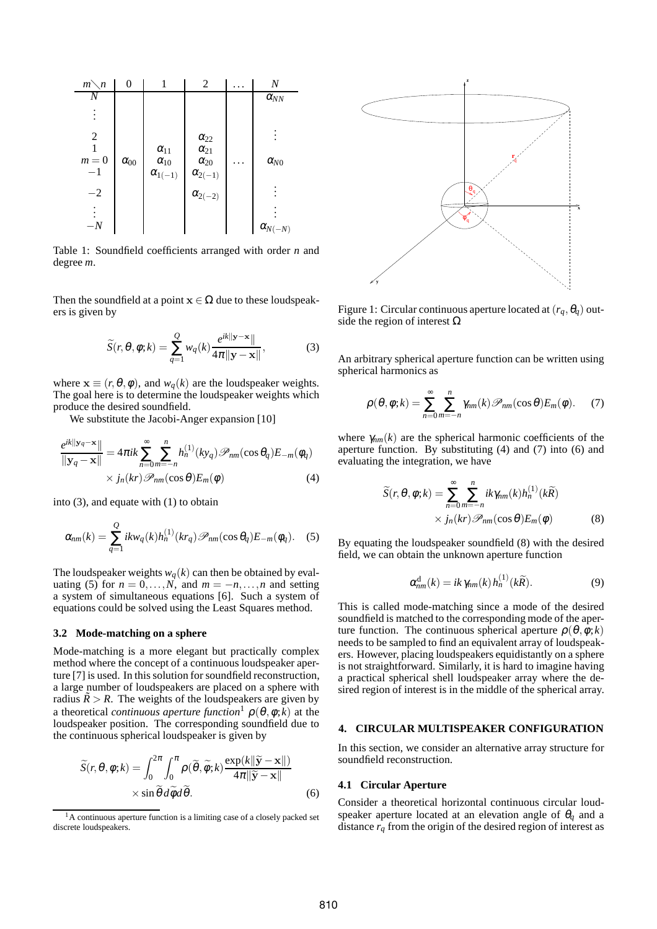

Table 1: Soundfield coefficients arranged with order *n* and degree *m*.

Then the soundfield at a point  $x \in \Omega$  due to these loudspeakers is given by

$$
\widetilde{S}(r,\theta,\phi;k) = \sum_{q=1}^{Q} w_q(k) \frac{e^{ik||\mathbf{y}-\mathbf{x}||}}{4\pi||\mathbf{y}-\mathbf{x}||},
$$
\n(3)

where  $\mathbf{x} \equiv (r, \theta, \phi)$ , and  $w_a(k)$  are the loudspeaker weights. The goal here is to determine the loudspeaker weights which produce the desired soundfield.

We substitute the Jacobi-Anger expansion [10]

$$
\frac{e^{ik||\mathbf{y}_q - \mathbf{x}}||}{||\mathbf{y}_q - \mathbf{x}||} = 4\pi ik \sum_{n=0}^{\infty} \sum_{m=-n}^{n} h_n^{(1)}(ky_q) \mathcal{P}_{nm}(\cos \theta_q) E_{-m}(\phi_q)
$$
  
 
$$
\times j_n(kr) \mathcal{P}_{nm}(\cos \theta) E_m(\phi)
$$
 (4)

into (3), and equate with (1) to obtain

$$
\alpha_{nm}(k) = \sum_{q=1}^{Q} ikw_q(k)h_n^{(1)}(kr_q)\mathcal{P}_{nm}(\cos\theta_q)E_{-m}(\phi_q).
$$
 (5)

The loudspeaker weights  $w_q(k)$  can then be obtained by evaluating (5) for  $n = 0, \ldots, N$ , and  $m = -n, \ldots, n$  and setting a system of simultaneous equations [6]. Such a system of equations could be solved using the Least Squares method.

## **3.2 Mode-matching on a sphere**

Mode-matching is a more elegant but practically complex method where the concept of a continuous loudspeaker aperture [7] is used. In this solution for soundfield reconstruction, a large number of loudspeakers are placed on a sphere with radius  $\tilde{R} > R$ . The weights of the loudspeakers are given by a theoretical *continuous aperture function*<sup>1</sup>  $\rho(\theta, \phi; k)$  at the loudspeaker position. The corresponding soundfield due to the continuous spherical loudspeaker is given by

$$
\widetilde{S}(r, \theta, \phi; k) = \int_0^{2\pi} \int_0^{\pi} \rho(\widetilde{\theta}, \widetilde{\phi}; k) \frac{\exp(k||\widetilde{\mathbf{y}} - \mathbf{x}||)}{4\pi||\widetilde{\mathbf{y}} - \mathbf{x}||} \times \sin \widetilde{\theta} d\widetilde{\phi} d\widetilde{\theta}.
$$
\n(6)



Figure 1: Circular continuous aperture located at  $(r_a, \theta_a)$  outside the region of interest  $\Omega$ 

An arbitrary spherical aperture function can be written using spherical harmonics as

$$
\rho(\theta,\phi;k) = \sum_{n=0}^{\infty} \sum_{m=-n}^{n} \gamma_{nm}(k) \mathcal{P}_{nm}(\cos \theta) E_m(\phi).
$$
 (7)

where  $\gamma_{nm}(k)$  are the spherical harmonic coefficients of the aperture function. By substituting (4) and (7) into (6) and evaluating the integration, we have

$$
\widetilde{S}(r,\theta,\phi;k) = \sum_{n=0}^{\infty} \sum_{m=-n}^{n} ik\gamma_{nm}(k)h_n^{(1)}(k\widetilde{R})
$$

$$
\times j_n(kr)\mathscr{P}_{nm}(\cos\theta)E_m(\phi)
$$
(8)

By equating the loudspeaker soundfield (8) with the desired field, we can obtain the unknown aperture function

$$
\alpha_{nm}^{\mathrm{d}}(k) = ik \,\gamma_{nm}(k) \, h_n^{(1)}(k\widetilde{R}).\tag{9}
$$

This is called mode-matching since a mode of the desired soundfield is matched to the corresponding mode of the aperture function. The continuous spherical aperture  $\rho(\theta, \phi; k)$ needs to be sampled to find an equivalent array of loudspeakers. However, placing loudspeakers equidistantly on a sphere is not straightforward. Similarly, it is hard to imagine having a practical spherical shell loudspeaker array where the desired region of interest is in the middle of the spherical array.

### **4. CIRCULAR MULTISPEAKER CONFIGURATION**

In this section, we consider an alternative array structure for soundfield reconstruction.

#### **4.1 Circular Aperture**

Consider a theoretical horizontal continuous circular loudspeaker aperture located at an elevation angle of  $\theta_a$  and a distance  $r_q$  from the origin of the desired region of interest as

<sup>&</sup>lt;sup>1</sup>A continuous aperture function is a limiting case of a closely packed set discrete loudspeakers.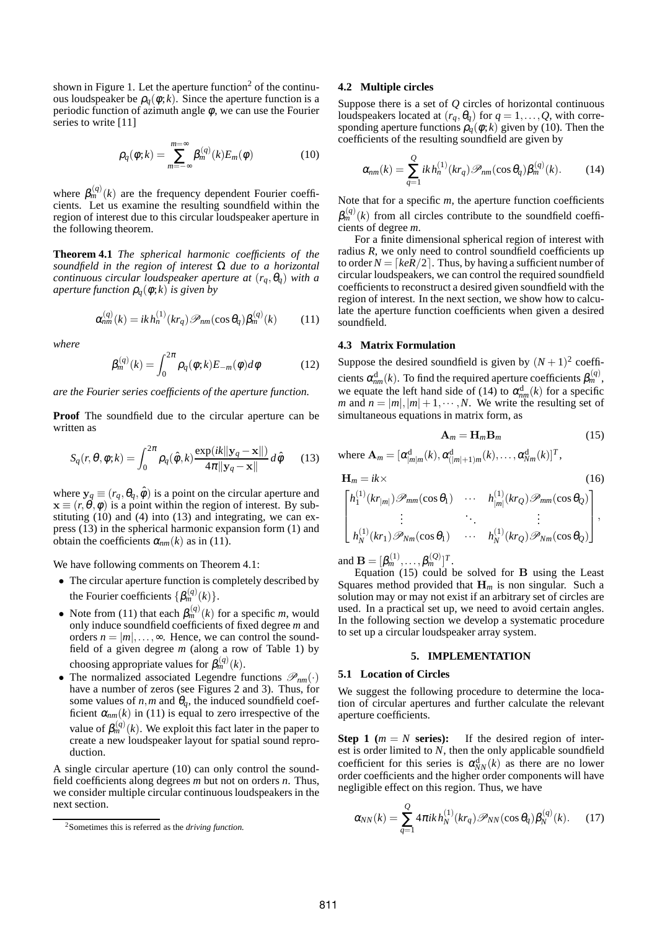shown in Figure 1. Let the aperture function<sup>2</sup> of the continuous loudspeaker be  $\rho_a(\phi;k)$ . Since the aperture function is a periodic function of azimuth angle  $\phi$ , we can use the Fourier series to write [11]

$$
\rho_q(\phi;k) = \sum_{m=-\infty}^{m=\infty} \beta_m^{(q)}(k) E_m(\phi)
$$
 (10)

where  $\beta_m^{(q)}(k)$  are the frequency dependent Fourier coefficients. Let us examine the resulting soundfield within the region of interest due to this circular loudspeaker aperture in the following theorem.

**Theorem 4.1** *The spherical harmonic coefficients of the soundfield in the region of interest* Ω *due to a horizontal continuous circular loudspeaker aperture at*  $(r_q, \theta_q)$  *with a aperture function*  $\rho_a(\phi;k)$  *is given by* 

$$
\alpha_{nm}^{(q)}(k) = ik \, h_n^{(1)}(kr_q) \mathcal{P}_{nm}(\cos \theta_q) \beta_m^{(q)}(k) \tag{11}
$$

*where*

$$
\beta_m^{(q)}(k) = \int_0^{2\pi} \rho_q(\phi;k) E_{-m}(\phi) d\phi \qquad (12)
$$

*are the Fourier series coefficients of the aperture function.*

**Proof** The soundfield due to the circular aperture can be written as

$$
S_q(r, \theta, \phi; k) = \int_0^{2\pi} \rho_q(\hat{\phi}, k) \frac{\exp(ik||\mathbf{y}_q - \mathbf{x}||)}{4\pi||\mathbf{y}_q - \mathbf{x}||} d\hat{\phi}
$$
 (13)

where  $y_q \equiv (r_q, \theta_q, \hat{\phi})$  is a point on the circular aperture and  $\mathbf{x} \equiv (r, \theta, \phi)$  is a point within the region of interest. By substituting  $(10)$  and  $(4)$  into  $(13)$  and integrating, we can express (13) in the spherical harmonic expansion form (1) and obtain the coefficients  $\alpha_{nm}(k)$  as in (11).

We have following comments on Theorem 4.1:

- The circular aperture function is completely described by the Fourier coefficients  $\{\beta_m^{(q)}(k)\}.$
- Note from (11) that each  $\beta_m^{(q)}(k)$  for a specific *m*, would only induce soundfield coefficients of fixed degree *m* and orders  $n = |m|, \ldots, \infty$ . Hence, we can control the soundfield of a given degree *m* (along a row of Table 1) by choosing appropriate values for  $\beta_m^{(q)}(k)$ .
- The normalized associated Legendre functions  $\mathscr{P}_{nm}(\cdot)$ have a number of zeros (see Figures 2 and 3). Thus, for some values of  $n$ ,  $m$  and  $\theta_q$ , the induced soundfield coefficient  $\alpha_{nm}(k)$  in (11) is equal to zero irrespective of the value of  $\beta_m^{(q)}(k)$ . We exploit this fact later in the paper to create a new loudspeaker layout for spatial sound reproduction.

A single circular aperture (10) can only control the soundfield coefficients along degrees *m* but not on orders *n*. Thus, we consider multiple circular continuous loudspeakers in the next section.

### **4.2 Multiple circles**

Suppose there is a set of *Q* circles of horizontal continuous loudspeakers located at  $(r_q, \theta_q)$  for  $q = 1, \ldots, Q$ , with corresponding aperture functions  $\rho_q(\phi;k)$  given by (10). Then the coefficients of the resulting soundfield are given by

$$
\alpha_{nm}(k) = \sum_{q=1}^{Q} ik \, h_n^{(1)}(kr_q) \mathcal{P}_{nm}(\cos \theta_q) \beta_m^{(q)}(k). \tag{14}
$$

Note that for a specific *m*, the aperture function coefficients  $\beta_{m}^{(q)}(k)$  from all circles contribute to the soundfield coefficients of degree *m*.

For a finite dimensional spherical region of interest with radius *R*, we only need to control soundfield coefficients up to order  $N = \lfloor keR/2 \rfloor$ . Thus, by having a sufficient number of circular loudspeakers, we can control the required soundfield coefficients to reconstruct a desired given soundfield with the region of interest. In the next section, we show how to calculate the aperture function coefficients when given a desired soundfield.

## **4.3 Matrix Formulation**

Suppose the desired soundfield is given by  $(N + 1)^2$  coefficients  $\alpha_{nm}^{\rm d}(k)$ . To find the required aperture coefficients  $\beta_{m}^{(q)}$ , we equate the left hand side of (14) to  $\alpha_{nm}^{d}(k)$  for a specific *m* and  $n = |m|, |m| + 1, \dots, N$ . We write the resulting set of simultaneous equations in matrix form, as

$$
\mathbf{A}_m = \mathbf{H}_m \mathbf{B}_m \tag{15}
$$

where  ${\bf A}_m = [\alpha_{|m|m}^{\rm d}(k), \alpha_{(|m|+1)m}^{\rm d}(k), \ldots, \alpha_{Nm}^{\rm d}(k)]^T$ ,

$$
\mathbf{H}_{m} = ik \times \tag{16}
$$
\n
$$
\begin{bmatrix}\nh_{1}^{(1)}(kr_{|m|}) \mathcal{P}_{mm}(\cos \theta_{1}) & \cdots & h_{|m|}^{(1)}(kr_{Q}) \mathcal{P}_{mm}(\cos \theta_{Q}) \\
\vdots & \ddots & \vdots \\
h_{N}^{(1)}(kr_{1}) \mathcal{P}_{Nm}(\cos \theta_{1}) & \cdots & h_{N}^{(1)}(kr_{Q}) \mathcal{P}_{Nm}(\cos \theta_{Q})\n\end{bmatrix},
$$

and  $\mathbf{B} = [\beta_m^{(1)}, \dots, \beta_m^{(Q)}]^T$ .

Equation (15) could be solved for B using the Least Squares method provided that  $H_m$  is non singular. Such a solution may or may not exist if an arbitrary set of circles are used. In a practical set up, we need to avoid certain angles. In the following section we develop a systematic procedure to set up a circular loudspeaker array system.

## **5. IMPLEMENTATION**

## **5.1 Location of Circles**

We suggest the following procedure to determine the location of circular apertures and further calculate the relevant aperture coefficients.

**Step 1** ( $m = N$  **series):** If the desired region of interest is order limited to *N*, then the only applicable soundfield coefficient for this series is  $\alpha_{NN}^{d}(k)$  as there are no lower order coefficients and the higher order components will have negligible effect on this region. Thus, we have

$$
\alpha_{NN}(k) = \sum_{q=1}^{Q} 4\pi i k h_N^{(1)}(kr_q) \mathcal{P}_{NN}(\cos \theta_q) \beta_N^{(q)}(k). \tag{17}
$$

<sup>2</sup>Sometimes this is referred as the *driving function.*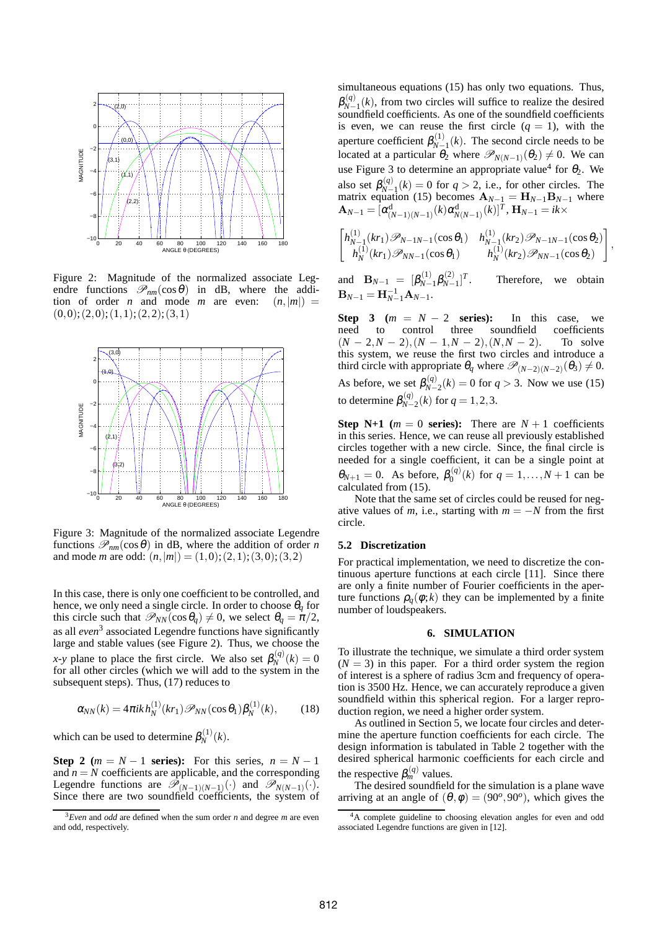

Figure 2: Magnitude of the normalized associate Legendre functions  $\mathcal{P}_{nm}(\cos \theta)$  in dB, where the addition of order *n* and mode *m* are even:  $(n,|m|)$  =  $(0,0);(2,0);(1,1);(2,2);(3,1)$ 



Figure 3: Magnitude of the normalized associate Legendre functions  $\mathcal{P}_{nm}(\cos \theta)$  in dB, where the addition of order *n* and mode *m* are odd:  $(n,|m|) = (1,0);(2,1);(3,0);(3,2)$ 

In this case, there is only one coefficient to be controlled, and hence, we only need a single circle. In order to choose  $\theta_q$  for this circle such that  $\mathcal{P}_{NN}(\cos \theta_q) \neq 0$ , we select  $\theta_q = \pi/2$ , as all *even*<sup>3</sup> associated Legendre functions have significantly large and stable values (see Figure 2). Thus, we choose the *x*-*y* plane to place the first circle. We also set  $\beta_N^{(q)}(k) = 0$ for all other circles (which we will add to the system in the subsequent steps). Thus, (17) reduces to

$$
\alpha_{NN}(k) = 4\pi i k h_N^{(1)}(kr_1) \mathcal{P}_{NN}(\cos \theta_1) \beta_N^{(1)}(k), \quad (18)
$$

which can be used to determine  $\beta_N^{(1)}$  $N^{(1)}(k)$ .

**Step 2** ( $m = N - 1$  **series):** For this series,  $n = N - 1$ and  $n = N$  coefficients are applicable, and the corresponding Legendre functions are  $\overline{\mathscr{P}}_{(N-1)(N-1)}(\cdot)$  and  $\overline{\mathscr{P}}_{N(N-1)}(\cdot)$ .<br>Since there are two soundfield coefficients, the system of

simultaneous equations (15) has only two equations. Thus,  $\pmb{\beta}_{\mathcal{N}-}^{\left(q\right)}$  $N_{N-1}^{(q)}(k)$ , from two circles will suffice to realize the desired soundfield coefficients. As one of the soundfield coefficients is even, we can reuse the first circle  $(q = 1)$ , with the aperture coefficient  $\beta_{N-}^{(1)}$  $N^{-1}$ (*k*). The second circle needs to be located at a particular  $\theta_2$  where  $\mathscr{P}_{N(N-1)}(\theta_2) \neq 0$ . We can use Figure 3 to determine an appropriate value<sup>4</sup> for  $\theta_2$ . We also set  $\beta_{N-}^{(q)}$  $N_{N-1}^{(q)}(k) = 0$  for  $q > 2$ , i.e., for other circles. The matrix equation (15) becomes  $\mathbf{A}_{N-1} = \mathbf{H}_{N-1} \mathbf{B}_{N-1}$  where  $\mathbf{A}_{N-1} = [\alpha^{\text{d}}_{(N-1)(N-1)}(k) \alpha^{\text{d}}_{N(N-1)}(k)]^T$ ,  $\mathbf{H}_{N-1} = ik \times$ 

$$
\begin{bmatrix} h_{N-1}^{(1)}(kr_1)\mathcal{P}_{N-1N-1}(\cos\theta_1) & h_{N-1}^{(1)}(kr_2)\mathcal{P}_{N-1N-1}(\cos\theta_2) \\ h_N^{(1)}(kr_1)\mathcal{P}_{NN-1}(\cos\theta_1) & h_N^{(1)}(kr_2)\mathcal{P}_{NN-1}(\cos\theta_2) \end{bmatrix}
$$

,

and  ${\bf B}_{N-1} = [\beta_{N-1}^{(1)}]$  $\beta_{N-1}^{(1)}\beta_{N-1}^{(2)}$  $T^{(2)}_{N-1}$ <sup>T</sup> Therefore, we obtain  $$ 

**Step 3** ( $m = N - 2$  **series):** In this case, we need to control three soundfield coefficients to control three  $(N-2,N-2)$ ,  $(N-1,N-2)$ ,  $(N,N-2)$ . To solve this system, we reuse the first two circles and introduce a third circle with appropriate  $\theta_q$  where  $\mathscr{P}_{(N-2)(N-2)}(\theta_3) \neq 0$ . As before, we set  $\beta_{N-}^{(q)}$  $N_{N-2}^{(q)}(k) = 0$  for  $q > 3$ . Now we use (15) to determine  $\beta_{N-}^{(q)}$  $Q_{N-2}^{(q)}(k)$  for  $q = 1, 2, 3$ .

**Step N+1** ( $m = 0$  **series):** There are  $N + 1$  coefficients in this series. Hence, we can reuse all previously established circles together with a new circle. Since, the final circle is needed for a single coefficient, it can be a single point at  $\theta_{N+1} = 0$ . As before,  $\beta_0^{(q)}$  $Q_0^{(q)}(k)$  for  $q = 1,..., N + 1$  can be calculated from (15).

Note that the same set of circles could be reused for negative values of *m*, i.e., starting with  $m = -N$  from the first circle.

### **5.2 Discretization**

For practical implementation, we need to discretize the continuous aperture functions at each circle [11]. Since there are only a finite number of Fourier coefficients in the aperture functions  $\rho_a(\phi;k)$  they can be implemented by a finite number of loudspeakers.

## **6. SIMULATION**

To illustrate the technique, we simulate a third order system  $(N = 3)$  in this paper. For a third order system the region of interest is a sphere of radius 3cm and frequency of operation is 3500 Hz. Hence, we can accurately reproduce a given soundfield within this spherical region. For a larger reproduction region, we need a higher order system.

As outlined in Section 5, we locate four circles and determine the aperture function coefficients for each circle. The design information is tabulated in Table 2 together with the desired spherical harmonic coefficients for each circle and the respective  $\beta_m^{(q)}$  values.

The desired soundfield for the simulation is a plane wave arriving at an angle of  $(\theta, \phi) = (90^{\circ}, 90^{\circ})$ , which gives the

<sup>3</sup>*Even* and *odd* are defined when the sum order *n* and degree *m* are even and odd, respectively.

<sup>&</sup>lt;sup>4</sup>A complete guideline to choosing elevation angles for even and odd associated Legendre functions are given in [12].